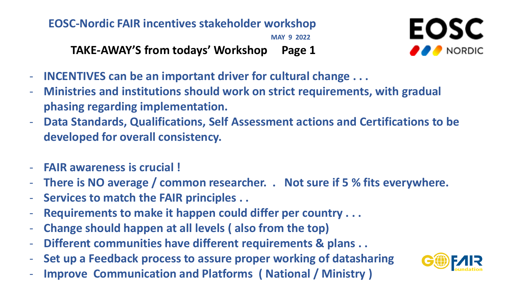**EOSC-Nordic FAIR incentives stakeholder workshop**

**TAKE-AWAY'S from todays' Workshop Page 1** 



- **INCENTIVES can be an important driver for cultural change . . .**
- **Ministries and institutions should work on strict requirements, with gradual phasing regarding implementation.**
- **Data Standards, Qualifications, Self Assessment actions and Certifications to be developed for overall consistency.**

**26 November 2020, 10:00 C26 MAY 9 2022** 

- **FAIR awareness is crucial !**
- **There is NO average / common researcher. . Not sure if 5 % fits everywhere.**
- **Services to match the FAIR principles . .**
- **Requirements to make it happen could differ per country . . .**
- **Change should happen at all levels ( also from the top)**
- **Different communities have different requirements & plans . .**
- **Set up a Feedback process to assure proper working of datasharing**
- **Improve Communication and Platforms ( National / Ministry )**